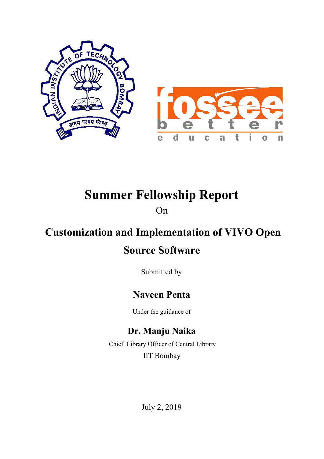

# **Summer Fellowship Report**

On

## **Customization and Implementation of VIVO Open**

## **Source Software**

Submitted by

## **Naveen Penta**

Under the guidance of

## **Dr. Manju Naika**

 Chief Library Officer of Central Library IIT Bombay

July 2, 2019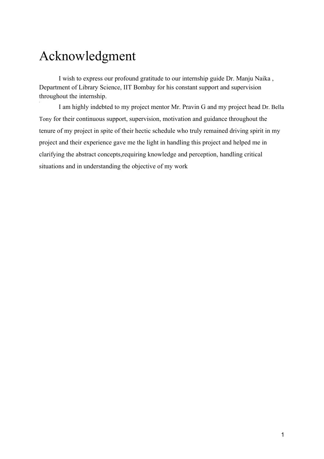# Acknowledgment

I wish to express our profound gratitude to our internship guide Dr. Manju Naika , Department of Library Science, IIT Bombay for his constant support and supervision throughout the internship.

I am highly indebted to my project mentor Mr. Pravin G and my project head Dr. Bella Tony for their continuous support, supervision, motivation and guidance throughout the tenure of my project in spite of their hectic schedule who truly remained driving spirit in my project and their experience gave me the light in handling this project and helped me in clarifying the abstract concepts,requiring knowledge and perception, handling critical situations and in understanding the objective of my work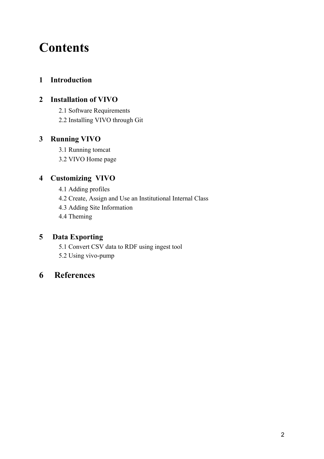# **Contents**

### **1 Introduction**

### **2 Installation of VIVO**

2.1 Software Requirements

2.2 Installing VIVO through Git

#### **3 Running VIVO**

3.1 Running tomcat

3.2 VIVO Home page

### **4 Customizing VIVO**

4.1 Adding profiles

4.2 Create, Assign and Use an Institutional Internal Class

4.3 Adding Site Information

4.4 Theming

#### **5 Data Exporting**

5.1 Convert CSV data to RDF using ingest tool

5.2 Using vivo-pump

### **6 References**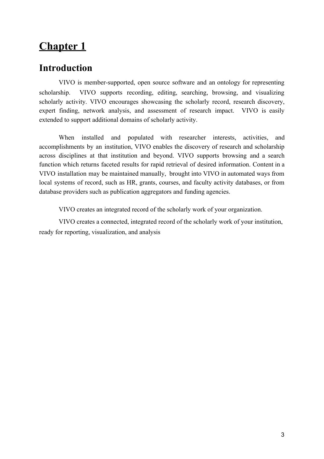## **Introduction**

VIVO is member-supported, open source software and an ontology for representing scholarship. VIVO supports recording, editing, searching, browsing, and visualizing scholarly activity. VIVO encourages showcasing the scholarly record, research discovery, expert finding, network analysis, and assessment of research impact. VIVO is easily extended to support additional domains of scholarly activity.

When installed and populated with researcher interests, activities, and accomplishments by an institution, VIVO enables the discovery of research and scholarship across disciplines at that institution and beyond. VIVO supports browsing and a search function which returns faceted results for rapid retrieval of desired information. Content in a VIVO installation may be maintained manually, brought into VIVO in automated ways from local systems of record, such as HR, grants, courses, and faculty activity databases, or from database providers such as publication aggregators and funding agencies.

VIVO creates an integrated record of the scholarly work of your organization.

VIVO creates a connected, integrated record of the scholarly work of your institution, ready for reporting, visualization, and analysis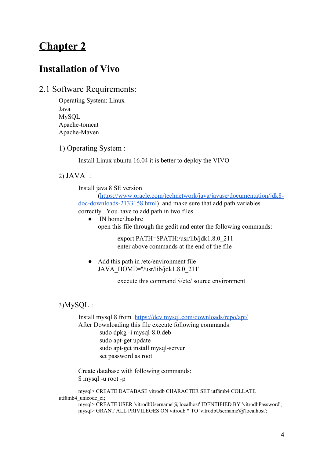### **Installation of Vivo**

#### 2.1 Software Requirements:

Operating System: Linux Java MySQL Apache-tomcat Apache-Maven

#### 1) Operating System :

Install Linux ubuntu 16.04 it is better to deploy the VIVO

2) JAVA :

Install java 8 SE version

[\(https://www.oracle.com/technetwork/java/javase/documentation/jdk8](https://www.oracle.com/technetwork/java/javase/documentation/jdk8-doc-downloads-2133158.html) [doc-downloads-2133158.html](https://www.oracle.com/technetwork/java/javase/documentation/jdk8-doc-downloads-2133158.html)) and make sure that add path variables correctly . You have to add path in two files.

• IN home/.bashrc open this file through the gedit and enter the following commands:

> export PATH=\$PATH:/usr/lib/jdk1.8.0\_211 enter above commands at the end of the file

• Add this path in /etc/environment file JAVA\_HOME="/usr/lib/jdk1.8.0\_211"

execute this command \$/etc/ source environment

#### 3)MySQL :

Install mysql 8 from <https://dev.mysql.com/downloads/repo/apt/>

After Downloading this file execute following commands: sudo dpkg -i mysql-8.0.deb sudo apt-get update sudo apt-get install mysql-server set password as root

Create database with following commands: \$ mysql -u root -p

mysql> CREATE DATABASE vitrodb CHARACTER SET utf8mb4 COLLATE utf8mb4\_unicode\_ci; mysql> CREATE USER 'vitrodbUsername'@'localhost' IDENTIFIED BY 'vitrodbPassword'; mysql> GRANT ALL PRIVILEGES ON vitrodb.\* TO 'vitrodbUsername'@'localhost';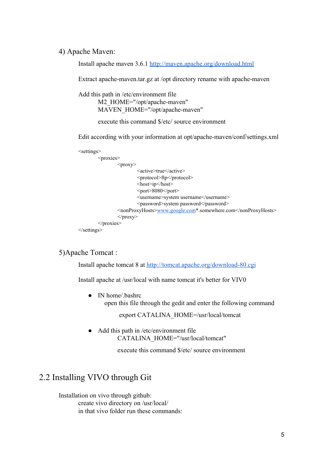#### 4) Apache Maven:

Install apache maven 3.6.[1](http://maven.apache.org/download.html) <http://maven.apache.org/download.html>

Extract apache-maven.tar.gz at /opt directory rename with apache-maven

Add this path in /etc/environment file

M2\_HOME="/opt/apache-maven" MAVEN\_HOME="/opt/apache-maven"

execute this command \$/etc/ source environment

Edit according with your information at opt/apache-maven/conf/settings.xml

```
<settings>
        <proxies>
                <proxy><active>true</active>
                        <protocol>ftp</protocol>
                        <host>ip</host>
                        <port>8080</port>
                        <username>system username</username>
                        <password>system password</password>
                <nonProxyHosts>www.google.com*.somewhere.com</nonProxyHosts>
                </proxy>
        </proxies>
</settings>
```
#### 5)Apache Tomcat :

Install apache tomcat 8 a[t](http://tomcat.apache.org/download-80.cgi) <http://tomcat.apache.org/download-80.cgi>

Install apache at /usr/local with name tomcat it's better for VIV0

• IN home/bashrc open this file through the gedit and enter the following command

export CATALINA\_HOME=/usr/local/tomcat

Add this path in /etc/environment file CATALINA\_HOME="/usr/local/tomcat"

execute this command \$/etc/ source environment

### 2.2 Installing VIVO through Git

Installation on vivo through github: create vivo directory on /usr/local/ in that vivo folder run these commands: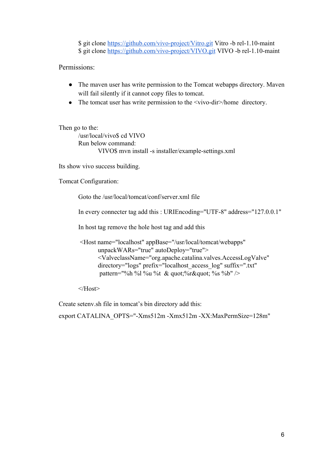\$ git clone <https://github.com/vivo-project/Vitro.git>Vitro -b rel-1.10-maint \$ git clone <https://github.com/vivo-project/VIVO.git> VIVO -b rel-1.10-maint

Permissions:

- The maven user has write permission to the Tomcat webapps directory. Maven will fail silently if it cannot copy files to tomcat.
- The tomcat user has write permission to the  $\langle \text{vivo-dir}\rangle$ /home directory.

```
Then go to the:
       /usr/local/vivo$ cd VIVO
       Run below command:
              VIVO$ mvn install -s installer/example-settings.xml
```
Its show vivo success building.

Tomcat Configuration:

Goto the /usr/local/tomcat/conf/server.xml file

In every connecter tag add this : URIEncoding="UTF-8" address="127.0.0.1"

In host tag remove the hole host tag and add this

```
 <Host name="localhost" appBase="/usr/local/tomcat/webapps"
      unpackWARs="true" autoDeploy="true">
      <ValveclassName="org.apache.catalina.valves.AccessLogValve"
      directory="logs" prefix="localhost_access_log" suffix=".txt"
      pattern="%h %l %u %t & quot;%r" %s %b" />
```
 $<$ /Host $>$ 

Create setenv.sh file in tomcat's bin directory add this:

export CATALINA\_OPTS="-Xms512m -Xmx512m -XX:MaxPermSize=128m"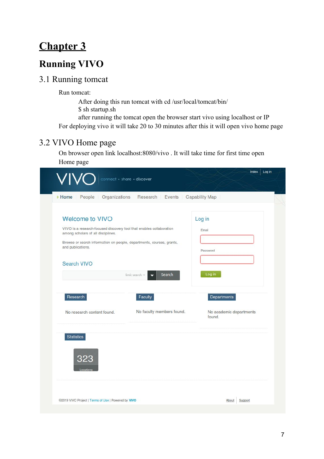## **Running VIVO**

### 3.1 Running tomcat

Run tomcat:

After doing this run tomcat with cd /usr/local/tomcat/bin/ \$ sh startup.sh after running the tomcat open the browser start vivo using localhost or IP For deploying vivo it will take 20 to 30 minutes after this it will open vivo home page

### 3.2 VIVO Home page

On browser open link localhost:8080/vivo . It will take time for first time open Home page

| > Home<br>People                                                                                                                     | Organizations Research Events Capability Map           |                                   |
|--------------------------------------------------------------------------------------------------------------------------------------|--------------------------------------------------------|-----------------------------------|
| <b>Welcome to VIVO</b><br>VIVO is a research-focused discovery tool that enables collaboration<br>among scholars of all disciplines. |                                                        | Log in<br>Email                   |
| Browse or search information on people, departments, courses, grants,<br>and publications.<br><b>Search VIVO</b>                     |                                                        | Password                          |
| Research                                                                                                                             | Search<br>$limit$ search $\rightarrow$<br>v<br>Faculty | Log in<br>Departments             |
| No research content found.                                                                                                           | No faculty members found.                              | No academic departments<br>found. |
| <b>Statistics</b><br>323<br>Location                                                                                                 |                                                        |                                   |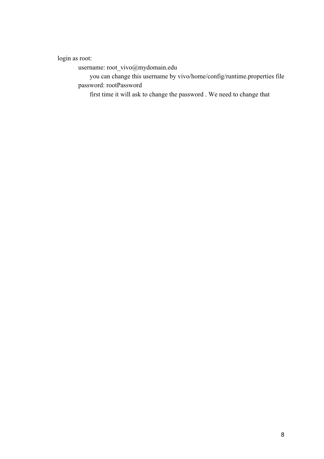login as root:

username: root\_vivo@mydomain.edu

 you can change this username by vivo/home/config/runtime.properties file password: rootPassword

first time it will ask to change the password . We need to change that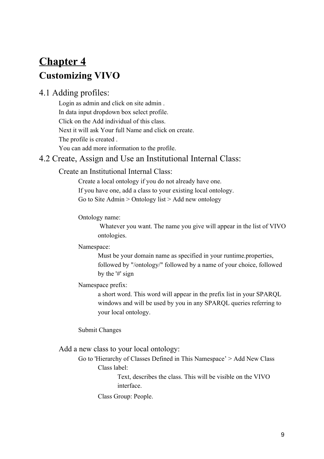## **Chapter 4 Customizing VIVO**

### 4.1 Adding profiles:

Login as admin and click on site admin . In data input dropdown box select profile. Click on the Add individual of this class. Next it will ask Your full Name and click on create. The profile is created . You can add more information to the profile.

### 4.2 Create, Assign and Use an Institutional Internal Class:

#### Create an Institutional Internal Class:

Create a local ontology if you do not already have one. If you have one, add a class to your existing local ontology. Go to Site Admin  $>$  Ontology list  $>$  Add new ontology

Ontology name:

 Whatever you want. The name you give will appear in the list of VIVO ontologies.

#### Namespace:

Must be your domain name as specified in your runtime.properties, followed by "/ontology/" followed by a name of your choice, followed by the '#' sign

#### Namespace prefix:

a short word. This word will appear in the prefix list in your SPARQL windows and will be used by you in any SPARQL queries referring to your local ontology.

Submit Changes

Add a new class to your local ontology:

Go to 'Hierarchy of Classes Defined in This Namespace' > Add New Class Class label:

> Text, describes the class. This will be visible on the VIVO interface.

Class Group: People.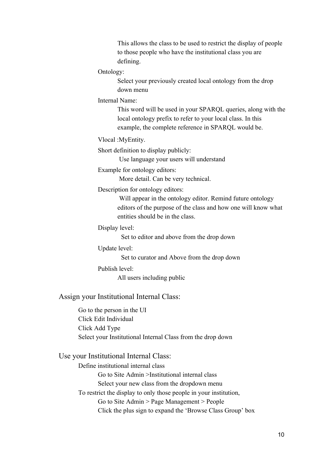This allows the class to be used to restrict the display of people to those people who have the institutional class you are defining.

Ontology:

Select your previously created local ontology from the drop down menu

Internal Name:

This word will be used in your SPARQL queries, along with the local ontology prefix to refer to your local class. In this example, the complete reference in SPARQL would be.

Vlocal :MyEntity.

Short definition to display publicly:

Use language your users will understand

Example for ontology editors:

More detail. Can be very technical.

Description for ontology editors:

 Will appear in the ontology editor. Remind future ontology editors of the purpose of the class and how one will know what entities should be in the class.

Display level:

Set to editor and above from the drop down

Update level:

Set to curator and Above from the drop down

Publish level:

All users including public

Assign your Institutional Internal Class:

Go to the person in the UI Click Edit Individual Click Add Type Select your Institutional Internal Class from the drop down

#### Use your Institutional Internal Class:

Define institutional internal class Go to Site Admin >Institutional internal class Select your new class from the dropdown menu To restrict the display to only those people in your institution, Go to Site Admin > Page Management > People Click the plus sign to expand the 'Browse Class Group' box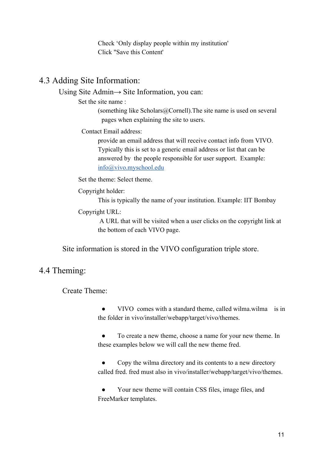Check 'Only display people within my institution' Click "Save this Content'

### 4.3 Adding Site Information:

Using Site Admin→ Site Information, you can:

Set the site name :

(something like Scholars@Cornell).The site name is used on several pages when explaining the site to users.

Contact Email address:

provide an email address that will receive contact info from VIVO. Typically this is set to a generic email address or list that can be answered by the people responsible for user support. Example: [info@vivo.myschool.edu](mailto:info@vivo.myschool.edu)

Set the theme: Select theme.

Copyright holder:

This is typically the name of your institution. Example: IIT Bombay

Copyright URL:

 A URL that will be visited when a user clicks on the copyright link at the bottom of each VIVO page.

Site information is stored in the VIVO configuration triple store.

### 4.4 Theming:

Create Theme:

VIVO comes with a standard theme, called wilma.wilma is in the folder in vivo/installer/webapp/target/vivo/themes.

● To create a new theme, choose a name for your new theme. In these examples below we will call the new theme fred.

Copy the wilma directory and its contents to a new directory called fred. fred must also in vivo/installer/webapp/target/vivo/themes.

Your new theme will contain CSS files, image files, and FreeMarker templates.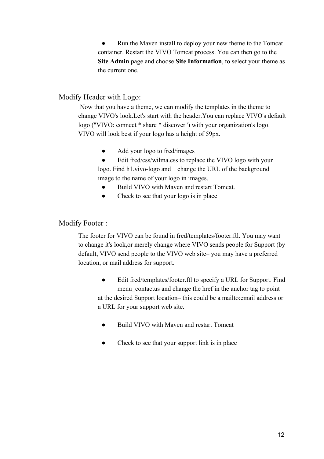Run the Maven install to deploy your new theme to the Tomcat container. Restart the VIVO Tomcat process. You can then go to the **Site Admin** page and choose **Site Information**, to select your theme as the current one.

#### Modify Header with Logo:

 Now that you have a theme, we can modify the templates in the theme to change VIVO's look.Let's start with the header.You can replace VIVO's default logo ("VIVO: connect \* share \* discover") with your organization's logo. VIVO will look best if your logo has a height of 59px.

- Add your logo to fred/images
- Edit fred/css/wilma.css to replace the VIVO logo with your

logo. Find h1.vivo-logo and change the URL of the background image to the name of your logo in images.

- Build VIVO with Maven and restart Tomcat.
- Check to see that your logo is in place

#### Modify Footer :

The footer for VIVO can be found in fred/templates/footer.ftl. You may want to change it's look,or merely change where VIVO sends people for Support (by default, VIVO send people to the VIVO web site– you may have a preferred location, or mail address for support.

- Edit fred/templates/footer.ftl to specify a URL for Support. Find menu\_contactus and change the href in the anchor tag to point at the desired Support location– this could be a mailto:email address or a URL for your support web site.
	- Build VIVO with Maven and restart Tomcat
	- Check to see that your support link is in place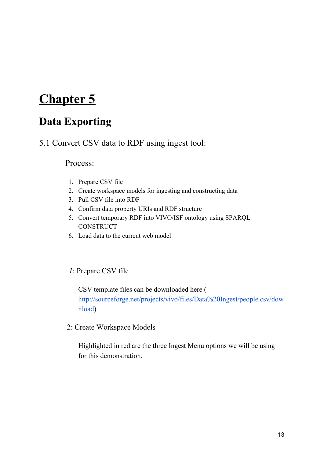## **Data Exporting**

5.1 Convert CSV data to RDF using ingest tool:

#### Process:

- 1. Prepare CSV file
- 2. Create workspace models for ingesting and constructing data
- 3. Pull CSV file into RDF
- 4. Confirm data property URIs and RDF structure
- 5. Convert temporary RDF into VIVO/ISF ontology using SPARQL **CONSTRUCT**
- 6. Load data to the current web model

#### *1*: Prepare CSV file

CSV template files can be downloaded here ( [http://sourceforge.net/projects/vivo/files/Data%20Ingest/people.csv/dow](http://sourceforge.net/projects/vivo/files/Data%20Ingest/people.csv/download) [nload](http://sourceforge.net/projects/vivo/files/Data%20Ingest/people.csv/download))

2: Create Workspace Models

Highlighted in red are the three Ingest Menu options we will be using for this demonstration.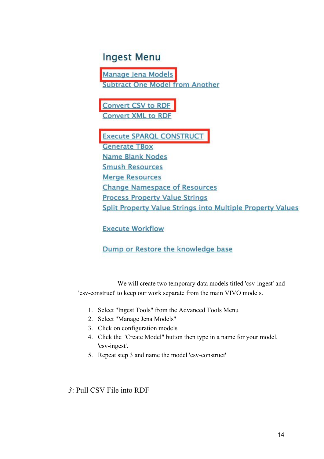## **Ingest Menu**

Manage Jena Models **Subtract One Model from Another** 

**Convert CSV to RDF Convert XML to RDF** 

**Execute SPARQL CONSTRUCT Generate TBox Name Blank Nodes Smush Resources Merge Resources Change Namespace of Resources Process Property Value Strings** Split Property Value Strings into Multiple Property Values

**Execute Workflow** 

#### Dump or Restore the knowledge base

We will create two temporary data models titled 'csv-ingest' and 'csv-construct' to keep our work separate from the main VIVO models.

- 1. Select "Ingest Tools" from the Advanced Tools Menu
- 2. Select "Manage Jena Models"
- 3. Click on configuration models
- 4. Click the "Create Model" button then type in a name for your model, 'csv-ingest'.
- 5. Repeat step 3 and name the model 'csv-construct'

#### *3*: Pull CSV File into RDF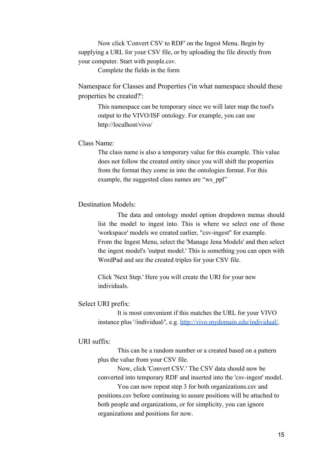Now click 'Convert CSV to RDF' on the Ingest Menu. Begin by supplying a URL for your CSV file, or by uploading the file directly from your computer. Start with people.csv.

Complete the fields in the form

Namespace for Classes and Properties ('in what namespace should these properties be created?':

This namespace can be temporary since we will later map the tool's output to the VIVO/ISF ontology. For example, you can use http://localhost/vivo/

Class Name:

The class name is also a temporary value for this example. This value does not follow the created entity since you will shift the properties from the format they come in into the ontologies format. For this example, the suggested class names are "ws\_ppl"

#### Destination Models:

The data and ontology model option dropdown menus should list the model to ingest into. This is where we select one of those 'workspace' models we created earlier, "csv-ingest" for example. From the Ingest Menu, select the 'Manage Jena Models' and then select the ingest model's 'output model.' This is something you can open with WordPad and see the created triples for your CSV file.

Click 'Next Step.' Here you will create the URI for your new individuals.

#### Select URI prefix:

It is most convenient if this matches the URL for your VIVO instance plus '/individual/', e.g. [http://vivo.mydomain.edu/individual/.](http://vivo.university.edu/individual/)

#### URI suffix:

This can be a random number or a created based on a pattern plus the value from your CSV file.

Now, click 'Convert CSV.' The CSV data should now be converted into temporary RDF and inserted into the 'csv-ingest' model.

You can now repeat step 3 for both organizations.csv and positions.csv before continuing to assure positions will be attached to both people and organizations, or for simplicity, you can ignore organizations and positions for now.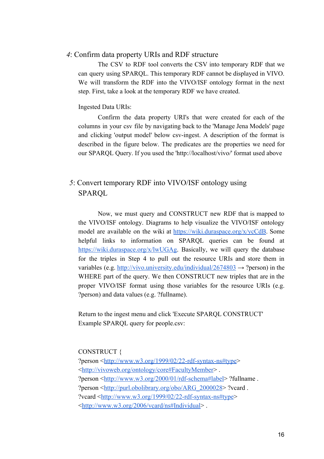#### *4*: Confirm data property URIs and RDF structure

The CSV to RDF tool converts the CSV into temporary RDF that we can query using SPARQL. This temporary RDF cannot be displayed in VIVO. We will transform the RDF into the VIVO/ISF ontology format in the next step. First, take a look at the temporary RDF we have created.

#### Ingested Data URIs:

Confirm the data property URI's that were created for each of the columns in your csv file by navigating back to the 'Manage Jena Models' page and clicking 'output model' below csv-ingest. A description of the format is described in the figure below. The predicates are the properties we need for our SPARQL Query. If you used the 'http://localhost/vivo/' format used above

#### *5*: Convert temporary RDF into VIVO/ISF ontology using SPARQL

Now, we must query and CONSTRUCT new RDF that is mapped to the VIVO/ISF ontology. Diagrams to help visualize the VIVO/ISF ontology model are available on the wiki at <https://wiki.duraspace.org/x/ycCdB>. Some helpful links to information on SPARQL queries can be found at [https://wiki.duraspace.org/x/lwUGAg.](https://wiki.duraspace.org/x/lwUGAg) Basically, we will query the database for the triples in Step 4 to pull out the resource URIs and store them in variables (e.g. <http://vivo.university.edu/individual/2674803>  $\rightarrow$  ?person) in the WHERE part of the query. We then CONSTRUCT new triples that are in the proper VIVO/ISF format using those variables for the resource URIs (e.g. ?person) and data values (e.g. ?fullname).

Return to the ingest menu and click 'Execute SPARQL CONSTRUCT' Example SPARQL query for people.csv:

#### CONSTRUCT {

?person [<http://www.w3.org/1999/02/22-rdf-syntax-ns#type](http://www.w3.org/1999/02/22-rdf-syntax-ns#type)> <[http://vivoweb.org/ontology/core#FacultyMember>](http://vivoweb.org/ontology/core#FacultyMember) . ?person [<http://www.w3.org/2000/01/rdf-schema#label](http://www.w3.org/2000/01/rdf-schema#label)> ?fullname . ?person [<http://purl.obolibrary.org/obo/ARG\\_2000028](http://purl.obolibrary.org/obo/ARG_2000028)> ?vcard . ?vcard <<http://www.w3.org/1999/02/22-rdf-syntax-ns#type>> <<http://www.w3.org/2006/vcard/ns#Individual>> .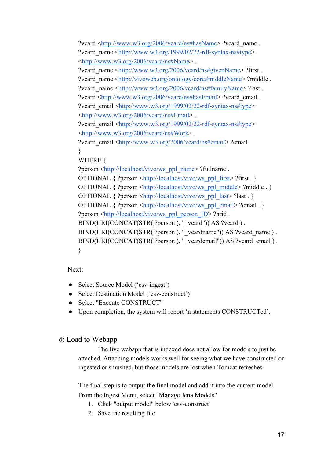?vcard <<http://www.w3.org/2006/vcard/ns#hasName>> ?vcard\_name . ?vcard\_name <<http://www.w3.org/1999/02/22-rdf-syntax-ns#type>> <<http://www.w3.org/2006/vcard/ns#Name>> . ?vcard\_name <<http://www.w3.org/2006/vcard/ns#givenName>> ?first . ?vcard\_name <<http://vivoweb.org/ontology/core#middleName>> ?middle . ?vcard\_name <[http://www.w3.org/2006/vcard/ns#familyName>](http://www.w3.org/2006/vcard/ns#familyName) ?last . ?vcard <<http://www.w3.org/2006/vcard/ns#hasEmail>> ?vcard\_email . ?vcard\_email [<http://www.w3.org/1999/02/22-rdf-syntax-ns#type](http://www.w3.org/1999/02/22-rdf-syntax-ns#type)> <<http://www.w3.org/2006/vcard/ns#Email>> . ?vcard\_email [<http://www.w3.org/1999/02/22-rdf-syntax-ns#type](http://www.w3.org/1999/02/22-rdf-syntax-ns#type)> <<http://www.w3.org/2006/vcard/ns#Work>> . ?vcard\_email [<http://www.w3.org/2006/vcard/ns#email](http://www.w3.org/2006/vcard/ns#email)> ?email . } WHERE { ?person [<http://localhost/vivo/ws\\_ppl\\_name](http://vivo.coop-plus.eu/ws_ppl_name)> ?fullname . OPTIONAL  $\{$  ?person  $\frac{\text{http://localhost/vivo/ws}}{\text{pub}}$  first  $\}$  ?first . } OPTIONAL { ?person <[http://localhost/vivo/ws\\_ppl\\_middle](http://vivo.coop-plus.eu/ws_ppl_middle)> ?middle . } OPTIONAL { ?person <[http://localhost/vivo/ws\\_ppl\\_last](http://vivo.coop-plus.eu/ws_ppl_last)> ?last . } OPTIONAL  $\{$  ?person  $\frac{\text{http://localhost/vivo/ws-ppl email>}}{\text{email}}$  ?email . } ?person [<http://localhost/vivo/ws\\_ppl\\_person\\_ID>](http://vivo.coop-plus.eu/ws_ppl_person_ID) ?hrid . BIND(URI(CONCAT(STR( ?person ), "\_vcard")) AS ?vcard ) . BIND(URI(CONCAT(STR( ?person ), "\_vcardname")) AS ?vcard\_name ) . BIND(URI(CONCAT(STR( ?person ), "\_vcardemail")) AS ?vcard\_email ) . }

Next:

- Select Source Model ('csv-ingest')
- Select Destination Model ('csv-construct')
- Select "Execute CONSTRUCT"
- Upon completion, the system will report 'n statements CONSTRUCTed'.

#### *6*: Load to Webapp

The live webapp that is indexed does not allow for models to just be attached. Attaching models works well for seeing what we have constructed or ingested or smushed, but those models are lost when Tomcat refreshes.

The final step is to output the final model and add it into the current model From the Ingest Menu, select "Manage Jena Models"

- 1. Click "output model" below 'csv-construct'
- 2. Save the resulting file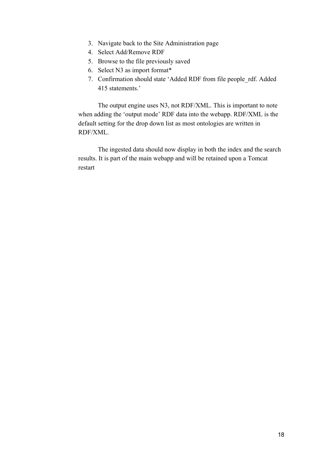- 3. Navigate back to the Site Administration page
- 4. Select Add/Remove RDF
- 5. Browse to the file previously saved
- 6. Select N3 as import format\*
- 7. Confirmation should state 'Added RDF from file people\_rdf. Added 415 statements.'

The output engine uses N3, not RDF/XML. This is important to note when adding the 'output mode' RDF data into the webapp. RDF/XML is the default setting for the drop down list as most ontologies are written in RDF/XML.

The ingested data should now display in both the index and the search results. It is part of the main webapp and will be retained upon a Tomcat restart